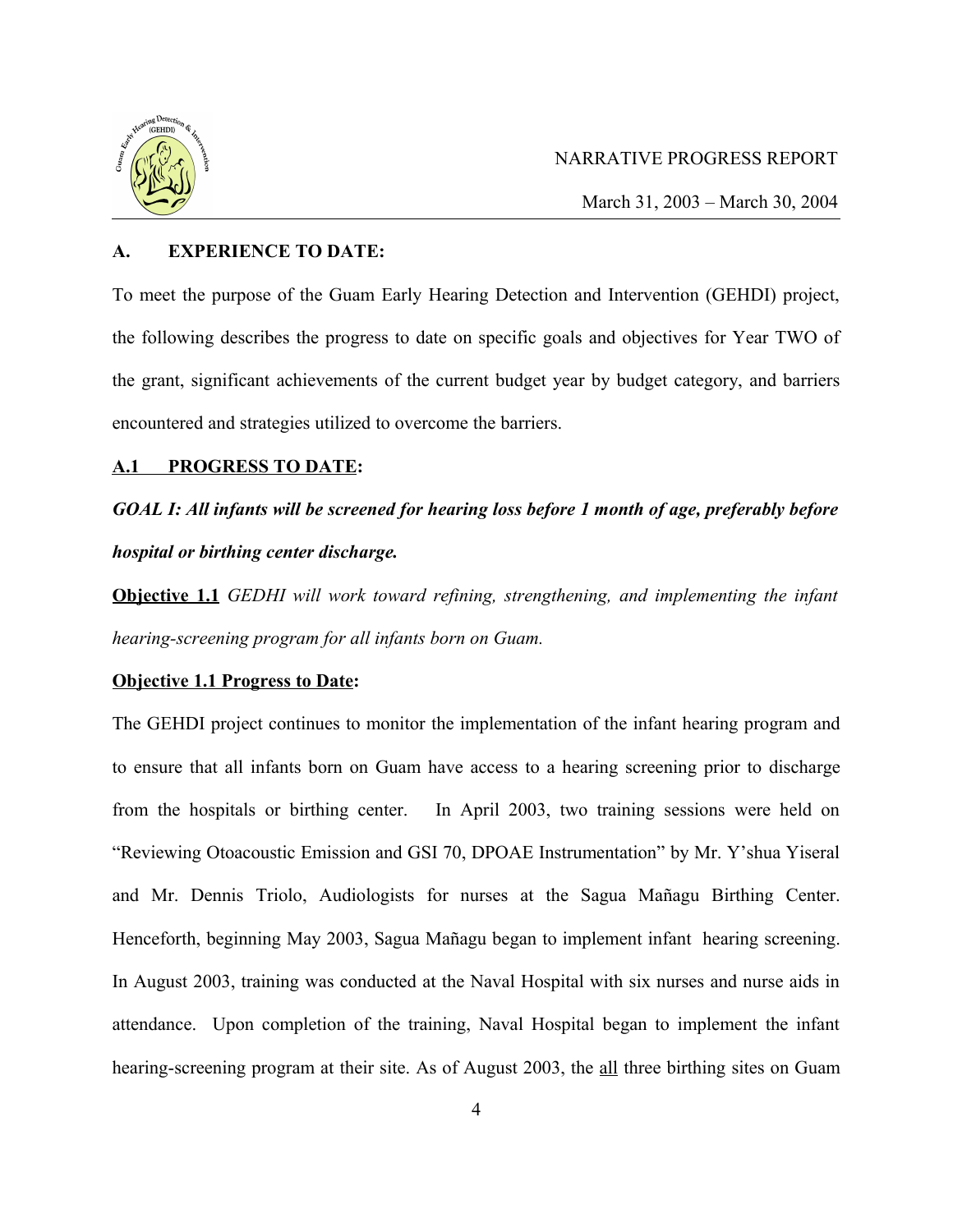

March 31, 2003 – March 30, 2004

# **A. EXPERIENCE TO DATE:**

To meet the purpose of the Guam Early Hearing Detection and Intervention (GEHDI) project, the following describes the progress to date on specific goals and objectives for Year TWO of the grant, significant achievements of the current budget year by budget category, and barriers encountered and strategies utilized to overcome the barriers.

# **A.1 PROGRESS TO DATE:**

# *GOAL I: All infants will be screened for hearing loss before 1 month of age, preferably before hospital or birthing center discharge.*

**Objective 1.1** *GEDHI will work toward refining, strengthening, and implementing the infant hearing-screening program for all infants born on Guam.* 

# **Objective 1.1 Progress to Date:**

The GEHDI project continues to monitor the implementation of the infant hearing program and to ensure that all infants born on Guam have access to a hearing screening prior to discharge from the hospitals or birthing center. In April 2003, two training sessions were held on "Reviewing Otoacoustic Emission and GSI 70, DPOAE Instrumentation" by Mr. Y'shua Yiseral and Mr. Dennis Triolo, Audiologists for nurses at the Sagua Mañagu Birthing Center. Henceforth, beginning May 2003, Sagua Mañagu began to implement infant hearing screening. In August 2003, training was conducted at the Naval Hospital with six nurses and nurse aids in attendance. Upon completion of the training, Naval Hospital began to implement the infant hearing-screening program at their site. As of August 2003, the all three birthing sites on Guam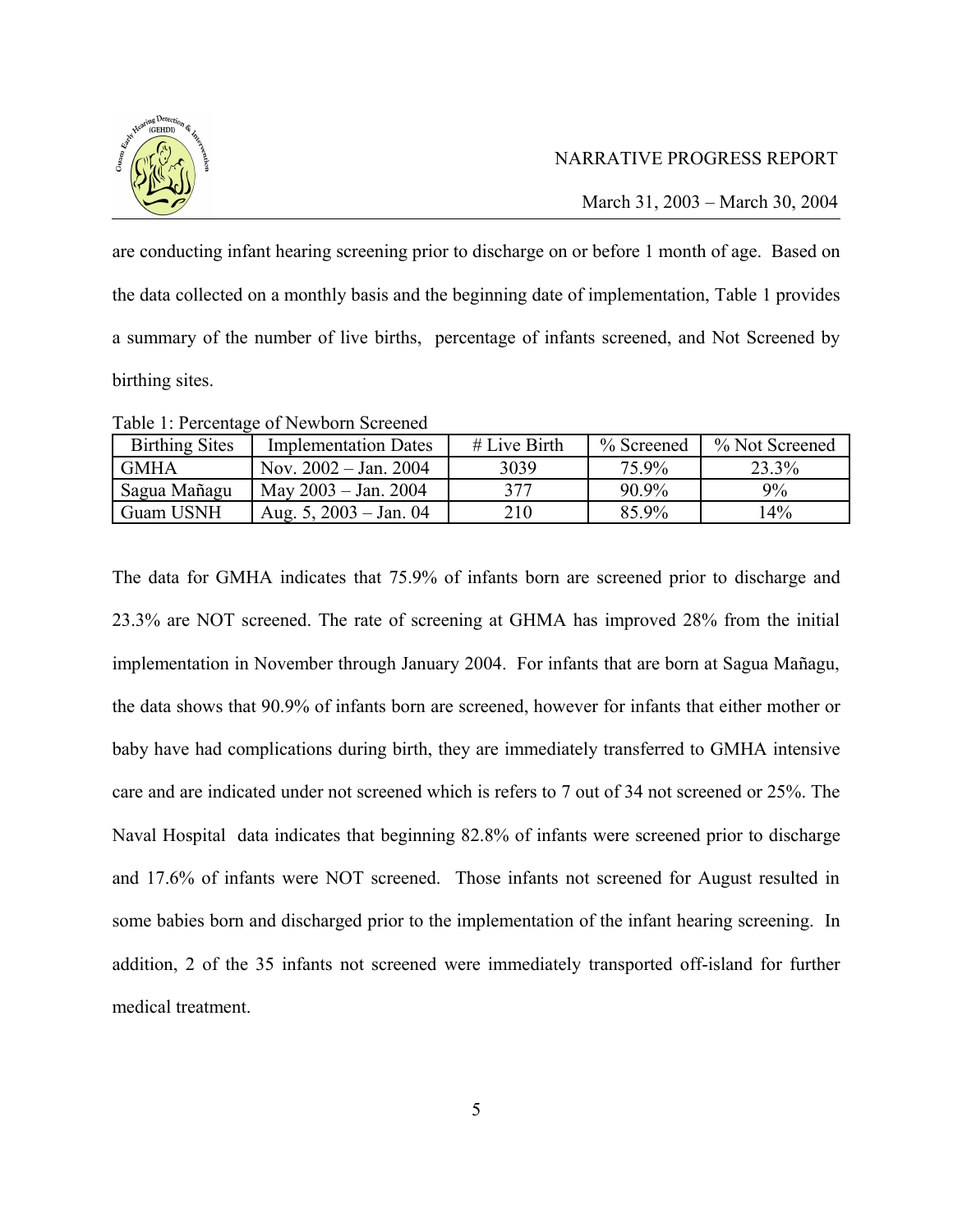

March 31, 2003 – March 30, 2004

are conducting infant hearing screening prior to discharge on or before 1 month of age. Based on the data collected on a monthly basis and the beginning date of implementation, Table 1 provides a summary of the number of live births, percentage of infants screened, and Not Screened by birthing sites.

| Table 1: Percentage of Newborn Screened |  |  |
|-----------------------------------------|--|--|
|-----------------------------------------|--|--|

| <b>Birthing Sites</b> | <b>Implementation Dates</b> | $#$ Live Birth | % Screened | % Not Screened |
|-----------------------|-----------------------------|----------------|------------|----------------|
| <b>GMHA</b>           | Nov. $2002 - Jan. 2004$     | 3039           | 75.9%      | 23.3%          |
| ' Sagua Mañagu        | May $2003 -$ Jan. $2004$    | 377            | $90.9\%$   | 9%             |
| Guam USNH             | Aug. 5, $2003 - Jan.$ 04    | 210            | 85.9%      | 14%            |

The data for GMHA indicates that 75.9% of infants born are screened prior to discharge and 23.3% are NOT screened. The rate of screening at GHMA has improved 28% from the initial implementation in November through January 2004. For infants that are born at Sagua Mañagu, the data shows that 90.9% of infants born are screened, however for infants that either mother or baby have had complications during birth, they are immediately transferred to GMHA intensive care and are indicated under not screened which is refers to 7 out of 34 not screened or 25%. The Naval Hospital data indicates that beginning 82.8% of infants were screened prior to discharge and 17.6% of infants were NOT screened. Those infants not screened for August resulted in some babies born and discharged prior to the implementation of the infant hearing screening. In addition, 2 of the 35 infants not screened were immediately transported off-island for further medical treatment.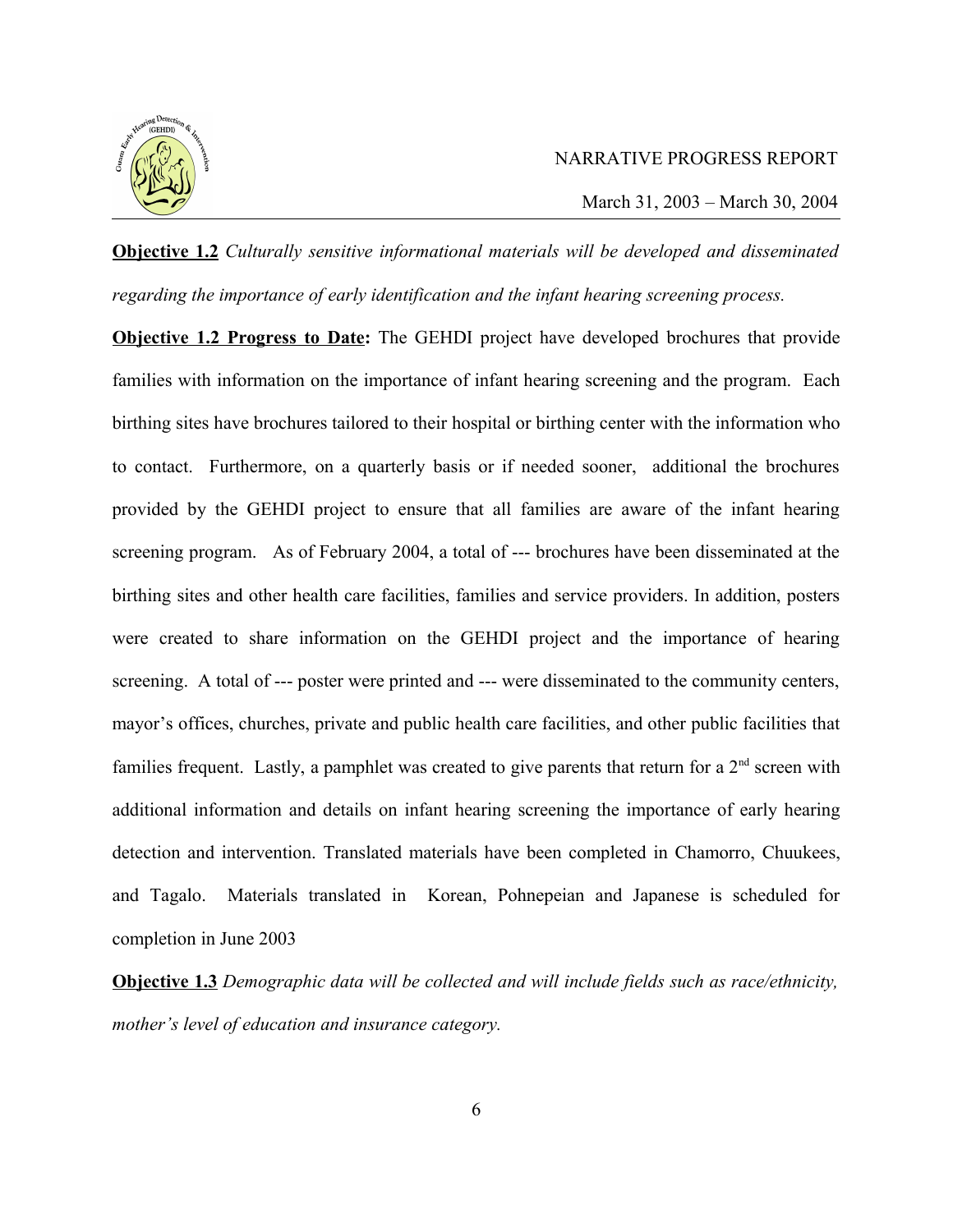

**Objective 1.2** *Culturally sensitive informational materials will be developed and disseminated regarding the importance of early identification and the infant hearing screening process.*

**Objective 1.2 Progress to Date:** The GEHDI project have developed brochures that provide families with information on the importance of infant hearing screening and the program. Each birthing sites have brochures tailored to their hospital or birthing center with the information who to contact. Furthermore, on a quarterly basis or if needed sooner, additional the brochures provided by the GEHDI project to ensure that all families are aware of the infant hearing screening program. As of February 2004, a total of --- brochures have been disseminated at the birthing sites and other health care facilities, families and service providers. In addition, posters were created to share information on the GEHDI project and the importance of hearing screening. A total of --- poster were printed and --- were disseminated to the community centers, mayor's offices, churches, private and public health care facilities, and other public facilities that families frequent. Lastly, a pamphlet was created to give parents that return for a  $2<sup>nd</sup>$  screen with additional information and details on infant hearing screening the importance of early hearing detection and intervention. Translated materials have been completed in Chamorro, Chuukees, and Tagalo. Materials translated in Korean, Pohnepeian and Japanese is scheduled for completion in June 2003

**Objective 1.3** *Demographic data will be collected and will include fields such as race/ethnicity, mother's level of education and insurance category.*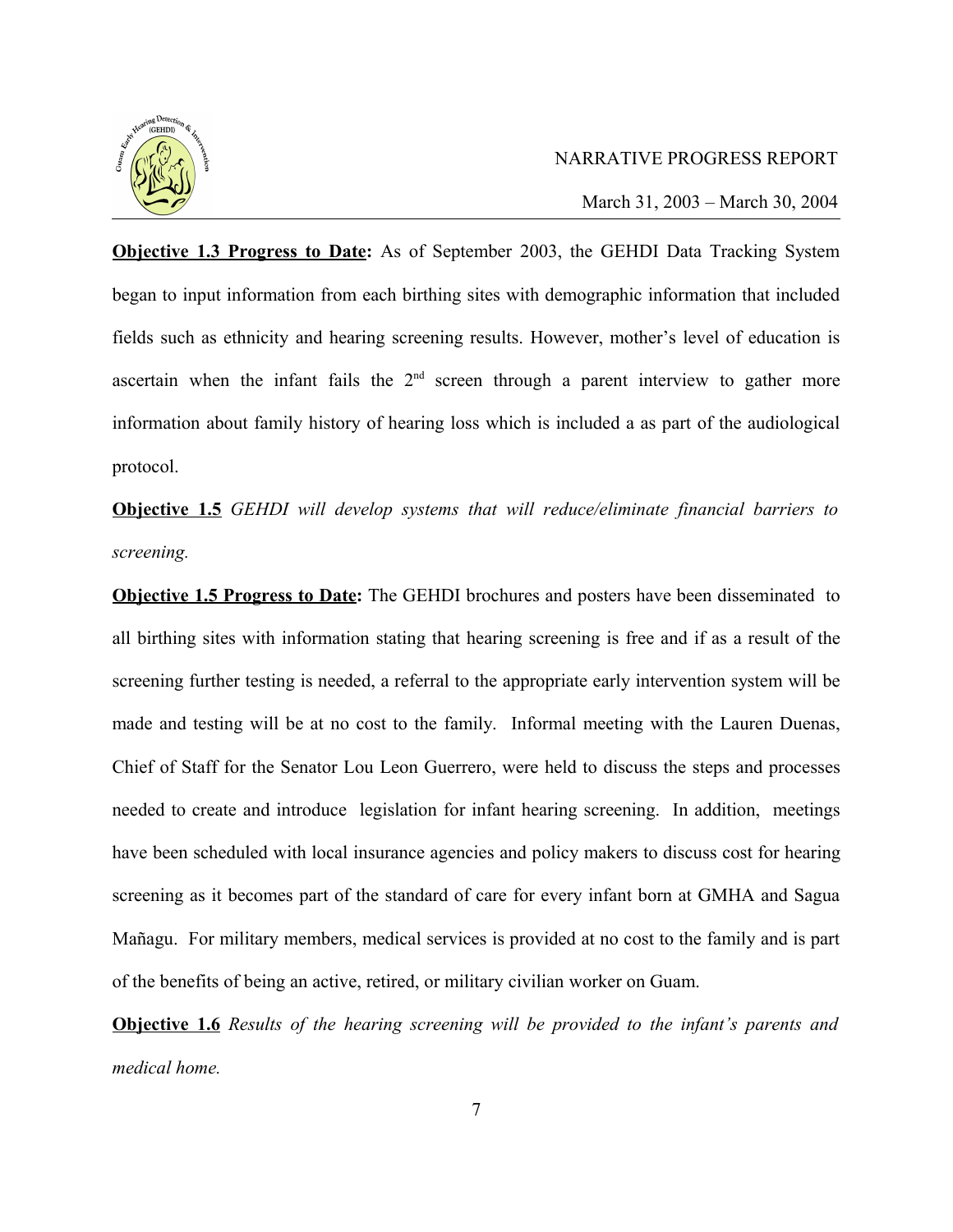

March 31, 2003 – March 30, 2004

**Objective 1.3 Progress to Date:** As of September 2003, the GEHDI Data Tracking System began to input information from each birthing sites with demographic information that included fields such as ethnicity and hearing screening results. However, mother's level of education is ascertain when the infant fails the  $2<sup>nd</sup>$  screen through a parent interview to gather more information about family history of hearing loss which is included a as part of the audiological protocol.

**Objective 1.5** *GEHDI will develop systems that will reduce/eliminate financial barriers to screening.*

**Objective 1.5 Progress to Date:** The GEHDI brochures and posters have been disseminated to all birthing sites with information stating that hearing screening is free and if as a result of the screening further testing is needed, a referral to the appropriate early intervention system will be made and testing will be at no cost to the family. Informal meeting with the Lauren Duenas, Chief of Staff for the Senator Lou Leon Guerrero, were held to discuss the steps and processes needed to create and introduce legislation for infant hearing screening. In addition, meetings have been scheduled with local insurance agencies and policy makers to discuss cost for hearing screening as it becomes part of the standard of care for every infant born at GMHA and Sagua Mañagu. For military members, medical services is provided at no cost to the family and is part of the benefits of being an active, retired, or military civilian worker on Guam.

**Objective 1.6** *Results of the hearing screening will be provided to the infant's parents and medical home.*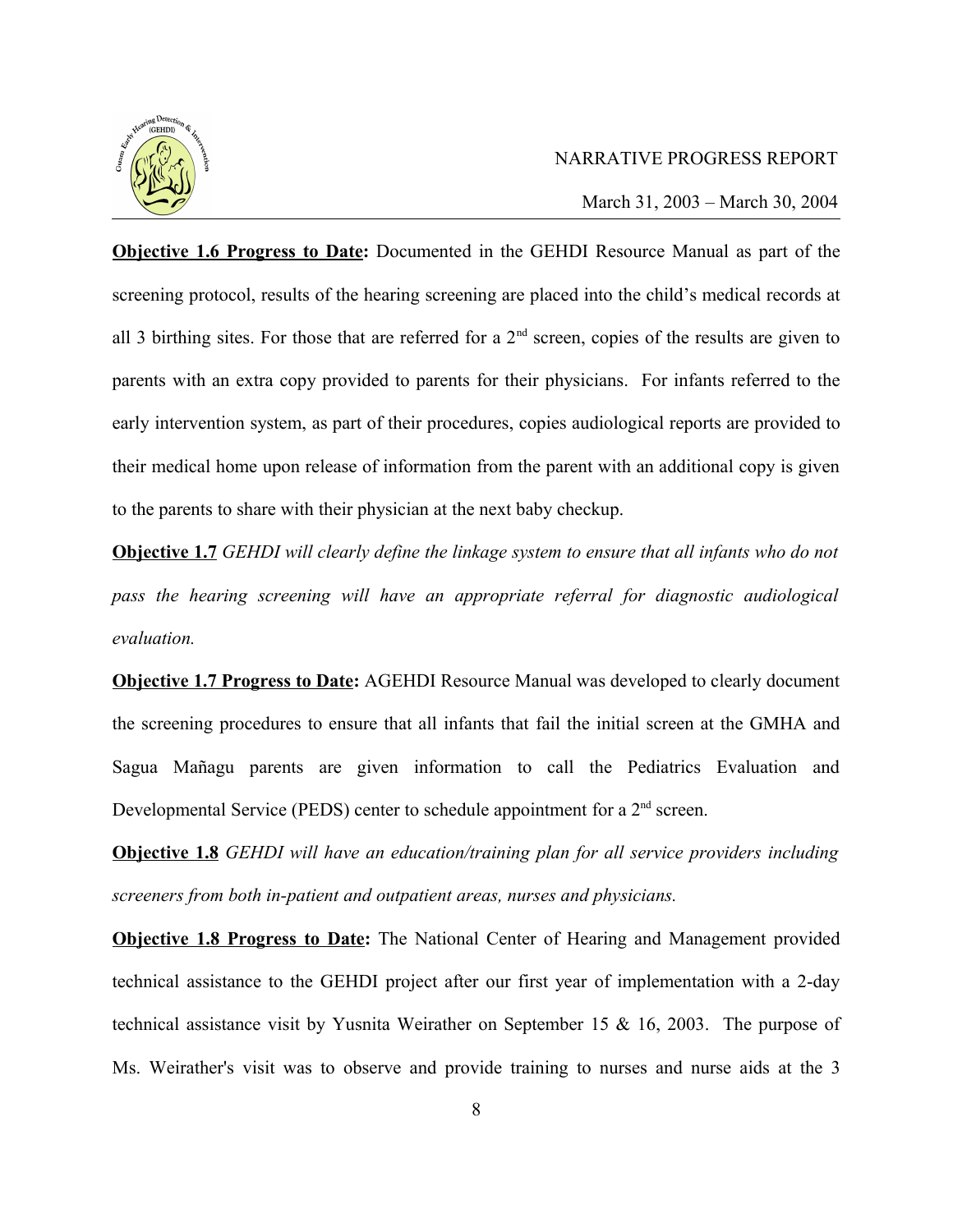

March 31, 2003 – March 30, 2004

**Objective 1.6 Progress to Date:** Documented in the GEHDI Resource Manual as part of the screening protocol, results of the hearing screening are placed into the child's medical records at all 3 birthing sites. For those that are referred for a  $2<sup>nd</sup>$  screen, copies of the results are given to parents with an extra copy provided to parents for their physicians. For infants referred to the early intervention system, as part of their procedures, copies audiological reports are provided to their medical home upon release of information from the parent with an additional copy is given to the parents to share with their physician at the next baby checkup.

**Objective 1.7** *GEHDI will clearly define the linkage system to ensure that all infants who do not pass the hearing screening will have an appropriate referral for diagnostic audiological evaluation.*

**Objective 1.7 Progress to Date:** AGEHDI Resource Manual was developed to clearly document the screening procedures to ensure that all infants that fail the initial screen at the GMHA and Sagua Mañagu parents are given information to call the Pediatrics Evaluation and Developmental Service (PEDS) center to schedule appointment for a  $2<sup>nd</sup>$  screen.

**Objective 1.8** *GEHDI will have an education/training plan for all service providers including screeners from both in-patient and outpatient areas, nurses and physicians.*

**Objective 1.8 Progress to Date:** The National Center of Hearing and Management provided technical assistance to the GEHDI project after our first year of implementation with a 2-day technical assistance visit by Yusnita Weirather on September 15 & 16, 2003. The purpose of Ms. Weirather's visit was to observe and provide training to nurses and nurse aids at the 3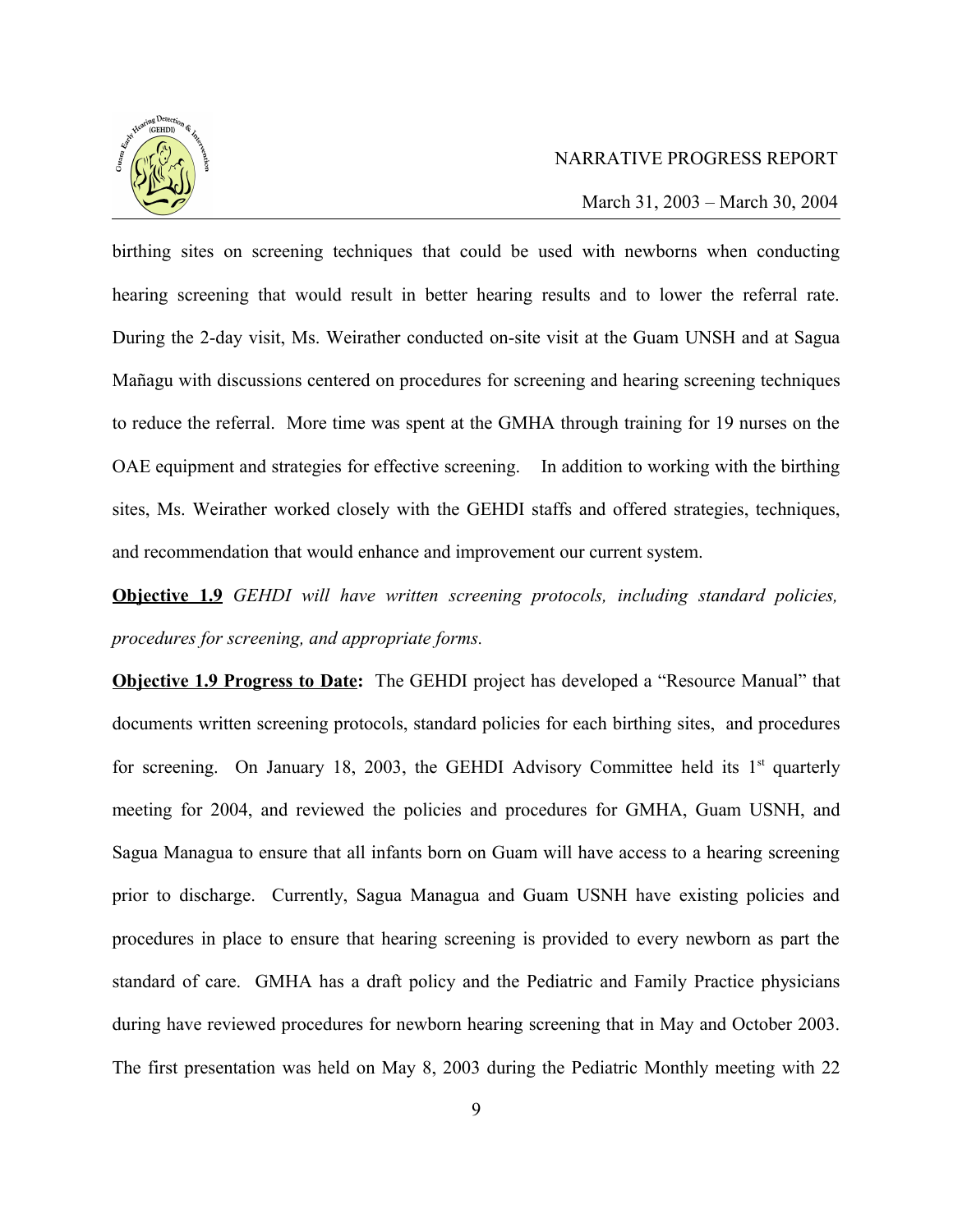

March 31, 2003 – March 30, 2004

birthing sites on screening techniques that could be used with newborns when conducting hearing screening that would result in better hearing results and to lower the referral rate. During the 2-day visit, Ms. Weirather conducted on-site visit at the Guam UNSH and at Sagua Mañagu with discussions centered on procedures for screening and hearing screening techniques to reduce the referral. More time was spent at the GMHA through training for 19 nurses on the OAE equipment and strategies for effective screening. In addition to working with the birthing sites, Ms. Weirather worked closely with the GEHDI staffs and offered strategies, techniques, and recommendation that would enhance and improvement our current system.

**Objective 1.9** *GEHDI will have written screening protocols, including standard policies, procedures for screening, and appropriate forms.*

**Objective 1.9 Progress to Date:** The GEHDI project has developed a "Resource Manual" that documents written screening protocols, standard policies for each birthing sites, and procedures for screening. On January 18, 2003, the GEHDI Advisory Committee held its  $1<sup>st</sup>$  quarterly meeting for 2004, and reviewed the policies and procedures for GMHA, Guam USNH, and Sagua Managua to ensure that all infants born on Guam will have access to a hearing screening prior to discharge. Currently, Sagua Managua and Guam USNH have existing policies and procedures in place to ensure that hearing screening is provided to every newborn as part the standard of care. GMHA has a draft policy and the Pediatric and Family Practice physicians during have reviewed procedures for newborn hearing screening that in May and October 2003. The first presentation was held on May 8, 2003 during the Pediatric Monthly meeting with 22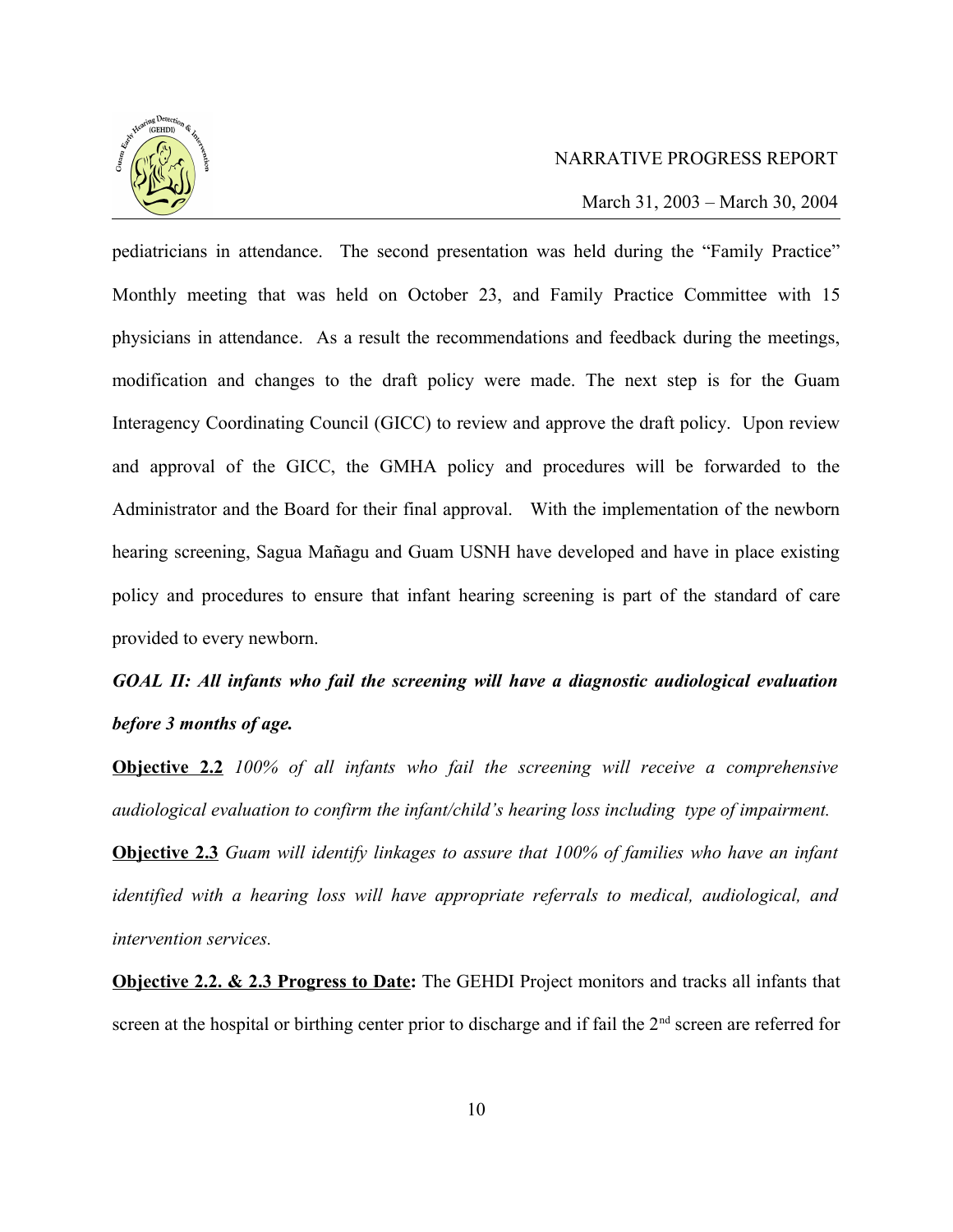

March 31, 2003 – March 30, 2004

pediatricians in attendance. The second presentation was held during the "Family Practice" Monthly meeting that was held on October 23, and Family Practice Committee with 15 physicians in attendance. As a result the recommendations and feedback during the meetings, modification and changes to the draft policy were made. The next step is for the Guam Interagency Coordinating Council (GICC) to review and approve the draft policy. Upon review and approval of the GICC, the GMHA policy and procedures will be forwarded to the Administrator and the Board for their final approval. With the implementation of the newborn hearing screening, Sagua Mañagu and Guam USNH have developed and have in place existing policy and procedures to ensure that infant hearing screening is part of the standard of care provided to every newborn.

# *GOAL II: All infants who fail the screening will have a diagnostic audiological evaluation before 3 months of age.*

**Objective 2.2** *100% of all infants who fail the screening will receive a comprehensive audiological evaluation to confirm the infant/child's hearing loss including type of impairment.* 

**Objective 2.3** *Guam will identify linkages to assure that 100% of families who have an infant identified with a hearing loss will have appropriate referrals to medical, audiological, and intervention services.*

**Objective 2.2. & 2.3 Progress to Date:** The GEHDI Project monitors and tracks all infants that screen at the hospital or birthing center prior to discharge and if fail the  $2<sup>nd</sup>$  screen are referred for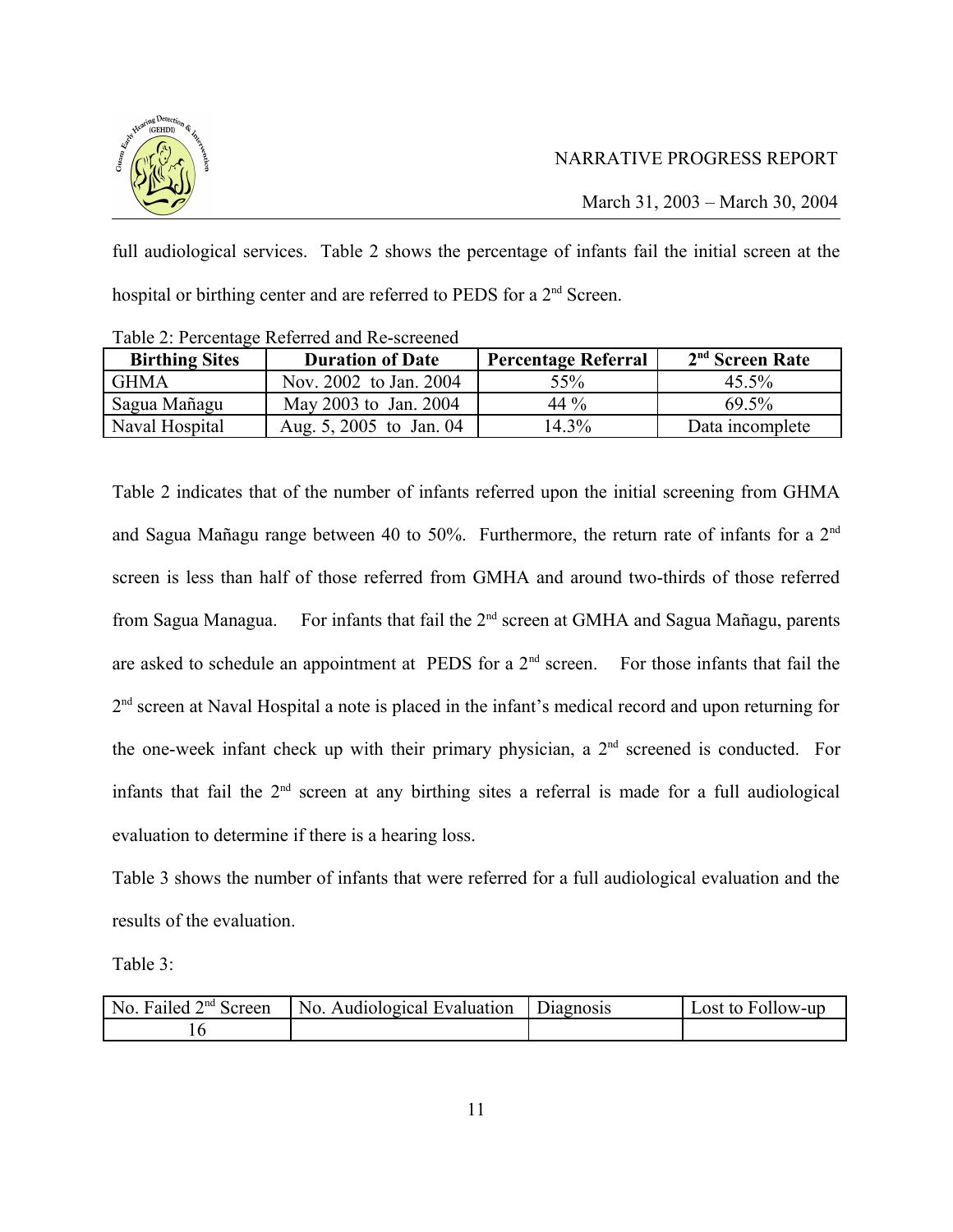

March 31, 2003 – March 30, 2004

full audiological services. Table 2 shows the percentage of infants fail the initial screen at the hospital or birthing center and are referred to PEDS for a 2<sup>nd</sup> Screen.

| Twore 2. I creenting recreated and red bet cented |                         |                            |                             |  |  |
|---------------------------------------------------|-------------------------|----------------------------|-----------------------------|--|--|
| <b>Birthing Sites</b>                             | <b>Duration of Date</b> | <b>Percentage Referral</b> | 2 <sup>nd</sup> Screen Rate |  |  |
| <b>GHMA</b>                                       | Nov. 2002 to Jan. 2004  | 55%                        | 45.5%                       |  |  |
| Sagua Mañagu                                      | May 2003 to Jan. 2004   | 44 %                       | 69.5%                       |  |  |
| Naval Hospital                                    | Aug. 5, 2005 to Jan. 04 | 14.3%                      | Data incomplete             |  |  |

Table 2: Percentage Referred and Re-screened

Table 2 indicates that of the number of infants referred upon the initial screening from GHMA and Sagua Mañagu range between 40 to 50%. Furthermore, the return rate of infants for a 2nd screen is less than half of those referred from GMHA and around two-thirds of those referred from Sagua Managua. For infants that fail the 2<sup>nd</sup> screen at GMHA and Sagua Mañagu, parents are asked to schedule an appointment at PEDS for a  $2<sup>nd</sup>$  screen. For those infants that fail the 2<sup>nd</sup> screen at Naval Hospital a note is placed in the infant's medical record and upon returning for the one-week infant check up with their primary physician, a 2nd screened is conducted. For infants that fail the  $2<sup>nd</sup>$  screen at any birthing sites a referral is made for a full audiological evaluation to determine if there is a hearing loss.

Table 3 shows the number of infants that were referred for a full audiological evaluation and the results of the evaluation.

Table 3:

| $\vert$ No. Failed $2nd$ Screen | No. Audiological Evaluation | Diagnosis | Lost to Follow-up |
|---------------------------------|-----------------------------|-----------|-------------------|
|                                 |                             |           |                   |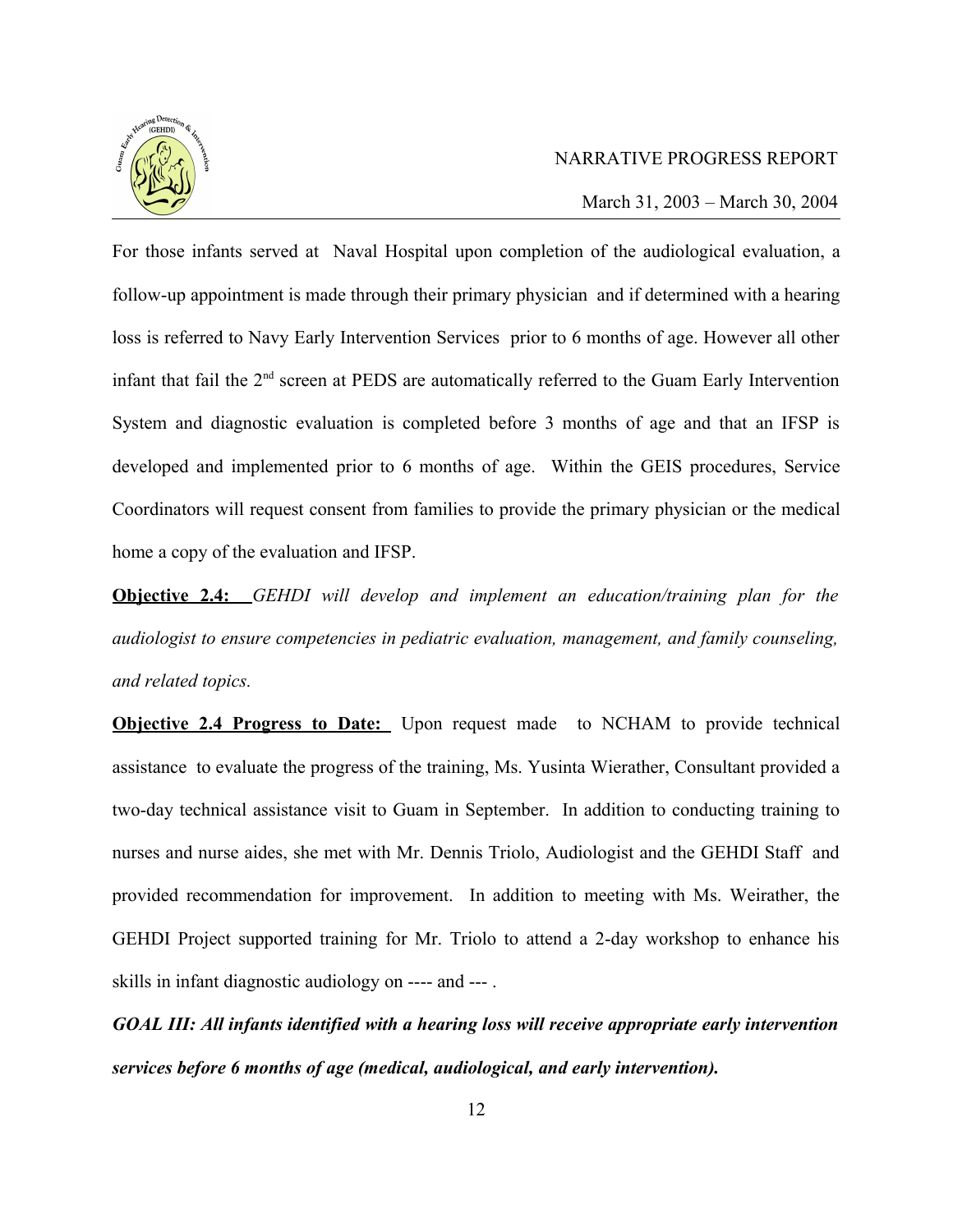

March 31, 2003 – March 30, 2004

For those infants served at Naval Hospital upon completion of the audiological evaluation, a follow-up appointment is made through their primary physician and if determined with a hearing loss is referred to Navy Early Intervention Services prior to 6 months of age. However all other infant that fail the  $2<sup>nd</sup>$  screen at PEDS are automatically referred to the Guam Early Intervention System and diagnostic evaluation is completed before 3 months of age and that an IFSP is developed and implemented prior to 6 months of age. Within the GEIS procedures, Service Coordinators will request consent from families to provide the primary physician or the medical home a copy of the evaluation and IFSP.

**Objective 2.4:** *GEHDI will develop and implement an education/training plan for the audiologist to ensure competencies in pediatric evaluation, management, and family counseling, and related topics.*

**Objective 2.4 Progress to Date:** Upon request made to NCHAM to provide technical assistance to evaluate the progress of the training, Ms. Yusinta Wierather, Consultant provided a two-day technical assistance visit to Guam in September. In addition to conducting training to nurses and nurse aides, she met with Mr. Dennis Triolo, Audiologist and the GEHDI Staff and provided recommendation for improvement. In addition to meeting with Ms. Weirather, the GEHDI Project supported training for Mr. Triolo to attend a 2-day workshop to enhance his skills in infant diagnostic audiology on ---- and --- .

*GOAL III: All infants identified with a hearing loss will receive appropriate early intervention services before 6 months of age (medical, audiological, and early intervention).*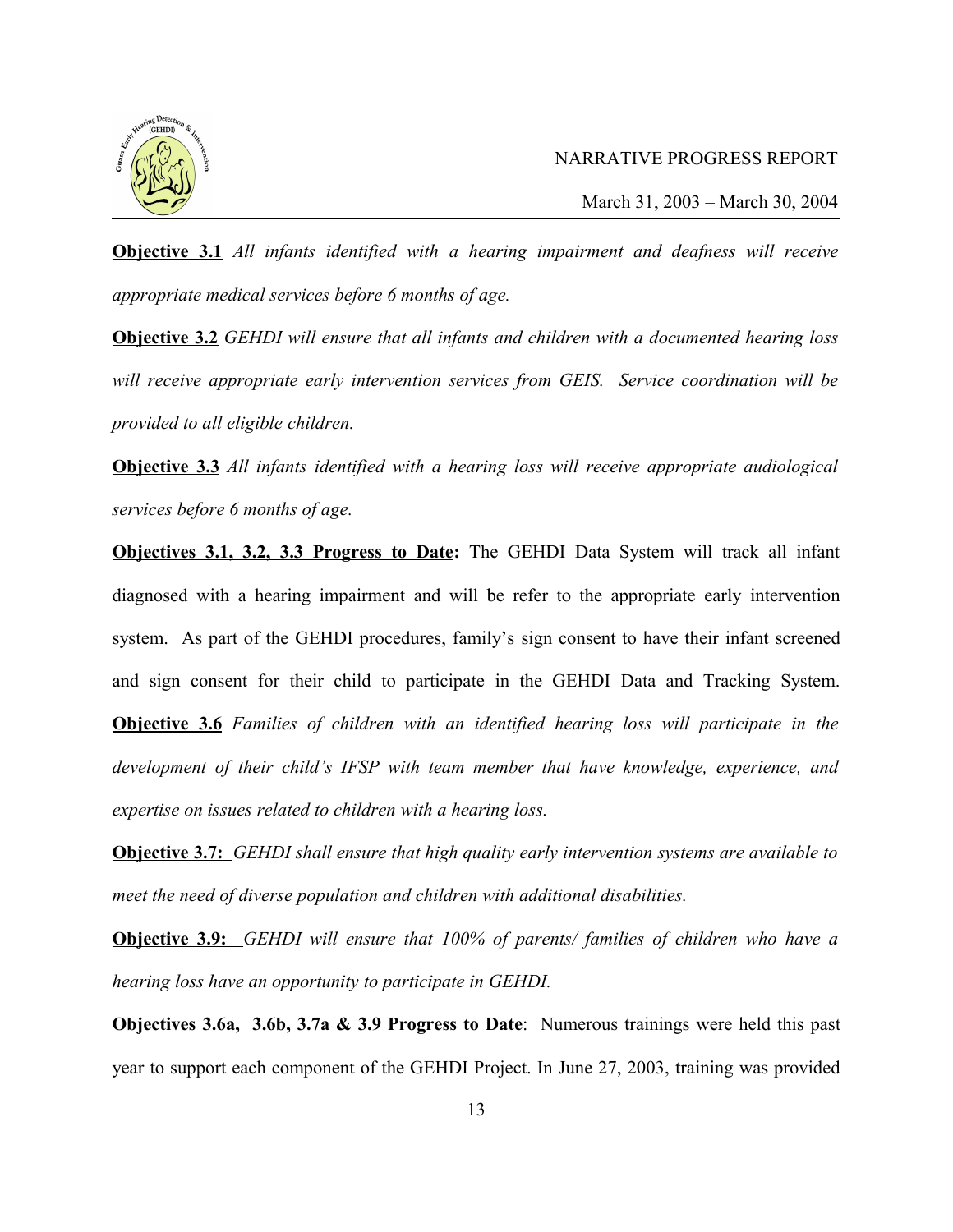

**Objective 3.1** *All infants identified with a hearing impairment and deafness will receive appropriate medical services before 6 months of age.* 

**Objective 3.2** *GEHDI will ensure that all infants and children with a documented hearing loss will receive appropriate early intervention services from GEIS. Service coordination will be provided to all eligible children.*

**Objective 3.3** *All infants identified with a hearing loss will receive appropriate audiological services before 6 months of age.*

**Objectives 3.1, 3.2, 3.3 Progress to Date:** The GEHDI Data System will track all infant diagnosed with a hearing impairment and will be refer to the appropriate early intervention system. As part of the GEHDI procedures, family's sign consent to have their infant screened and sign consent for their child to participate in the GEHDI Data and Tracking System. **Objective 3.6** *Families of children with an identified hearing loss will participate in the*

*development of their child's IFSP with team member that have knowledge, experience, and expertise on issues related to children with a hearing loss.*

**Objective 3.7:** *GEHDI shall ensure that high quality early intervention systems are available to meet the need of diverse population and children with additional disabilities.* 

**Objective 3.9:** *GEHDI will ensure that 100% of parents/ families of children who have a hearing loss have an opportunity to participate in GEHDI.* 

**Objectives 3.6a, 3.6b, 3.7a & 3.9 Progress to Date:** Numerous trainings were held this past year to support each component of the GEHDI Project. In June 27, 2003, training was provided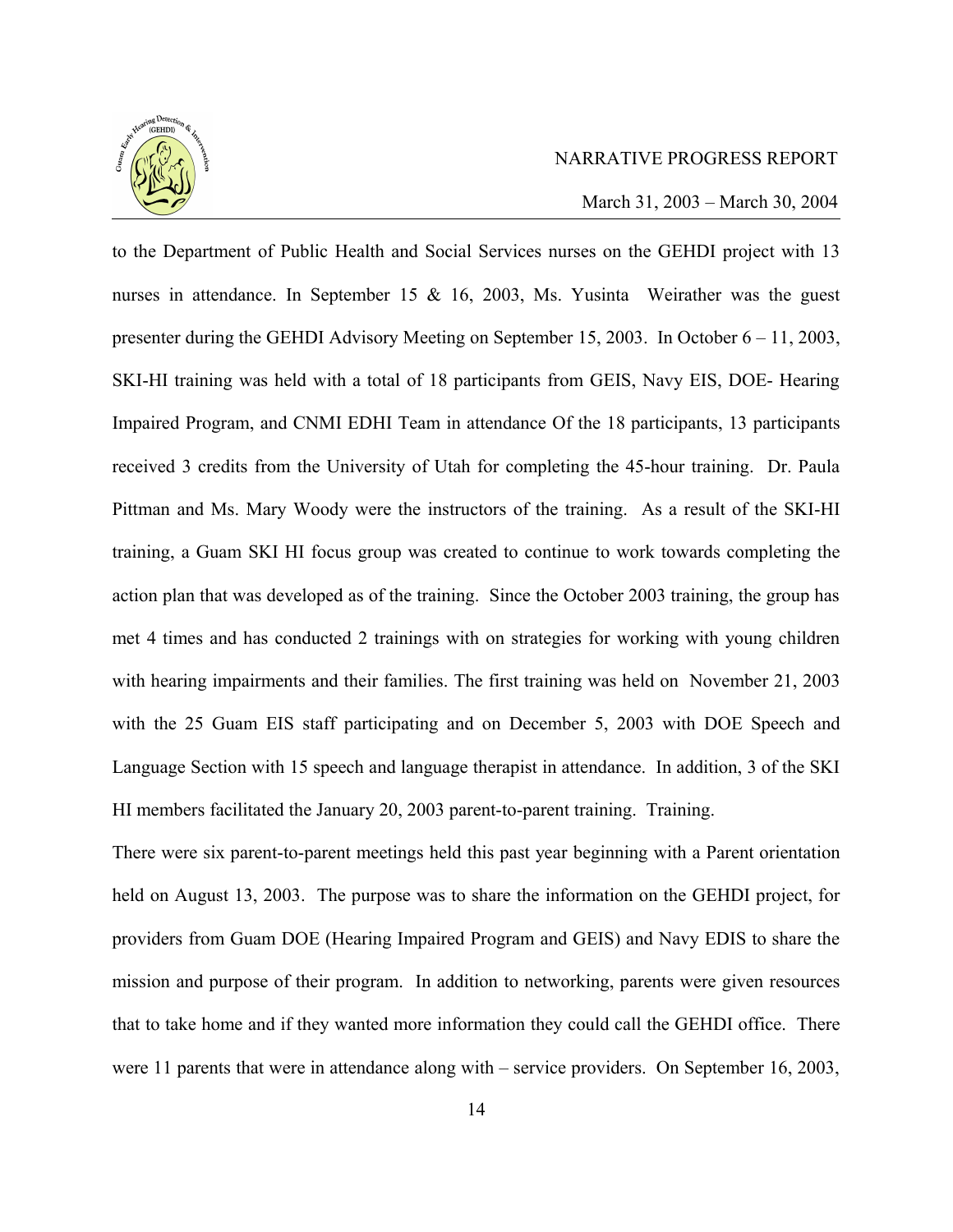

March 31, 2003 – March 30, 2004

to the Department of Public Health and Social Services nurses on the GEHDI project with 13 nurses in attendance. In September 15 & 16, 2003, Ms. Yusinta Weirather was the guest presenter during the GEHDI Advisory Meeting on September 15, 2003. In October 6 – 11, 2003, SKI-HI training was held with a total of 18 participants from GEIS, Navy EIS, DOE- Hearing Impaired Program, and CNMI EDHI Team in attendance Of the 18 participants, 13 participants received 3 credits from the University of Utah for completing the 45-hour training. Dr. Paula Pittman and Ms. Mary Woody were the instructors of the training. As a result of the SKI-HI training, a Guam SKI HI focus group was created to continue to work towards completing the action plan that was developed as of the training. Since the October 2003 training, the group has met 4 times and has conducted 2 trainings with on strategies for working with young children with hearing impairments and their families. The first training was held on November 21, 2003 with the 25 Guam EIS staff participating and on December 5, 2003 with DOE Speech and Language Section with 15 speech and language therapist in attendance. In addition, 3 of the SKI HI members facilitated the January 20, 2003 parent-to-parent training. Training.

There were six parent-to-parent meetings held this past year beginning with a Parent orientation held on August 13, 2003. The purpose was to share the information on the GEHDI project, for providers from Guam DOE (Hearing Impaired Program and GEIS) and Navy EDIS to share the mission and purpose of their program. In addition to networking, parents were given resources that to take home and if they wanted more information they could call the GEHDI office. There were 11 parents that were in attendance along with – service providers. On September 16, 2003,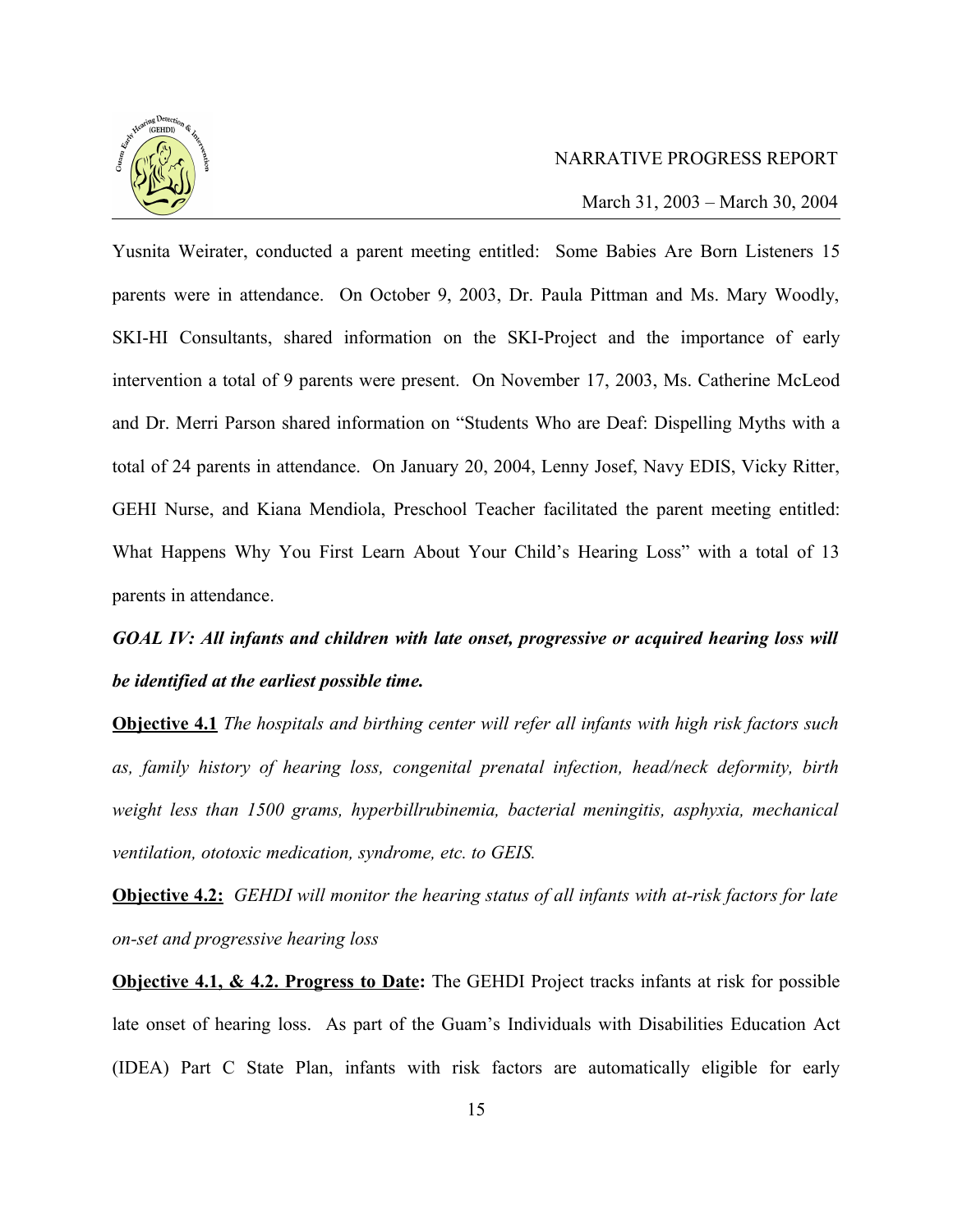

March 31, 2003 – March 30, 2004

Yusnita Weirater, conducted a parent meeting entitled: Some Babies Are Born Listeners 15 parents were in attendance. On October 9, 2003, Dr. Paula Pittman and Ms. Mary Woodly, SKI-HI Consultants, shared information on the SKI-Project and the importance of early intervention a total of 9 parents were present. On November 17, 2003, Ms. Catherine McLeod and Dr. Merri Parson shared information on "Students Who are Deaf: Dispelling Myths with a total of 24 parents in attendance. On January 20, 2004, Lenny Josef, Navy EDIS, Vicky Ritter, GEHI Nurse, and Kiana Mendiola, Preschool Teacher facilitated the parent meeting entitled: What Happens Why You First Learn About Your Child's Hearing Loss" with a total of 13 parents in attendance.

*GOAL IV: All infants and children with late onset, progressive or acquired hearing loss will be identified at the earliest possible time.*

**Objective 4.1** *The hospitals and birthing center will refer all infants with high risk factors such as, family history of hearing loss, congenital prenatal infection, head/neck deformity, birth weight less than 1500 grams, hyperbillrubinemia, bacterial meningitis, asphyxia, mechanical ventilation, ototoxic medication, syndrome, etc. to GEIS.* 

**Objective 4.2:** *GEHDI will monitor the hearing status of all infants with at-risk factors for late on-set and progressive hearing loss*

**Objective 4.1, & 4.2. Progress to Date:** The GEHDI Project tracks infants at risk for possible late onset of hearing loss. As part of the Guam's Individuals with Disabilities Education Act (IDEA) Part C State Plan, infants with risk factors are automatically eligible for early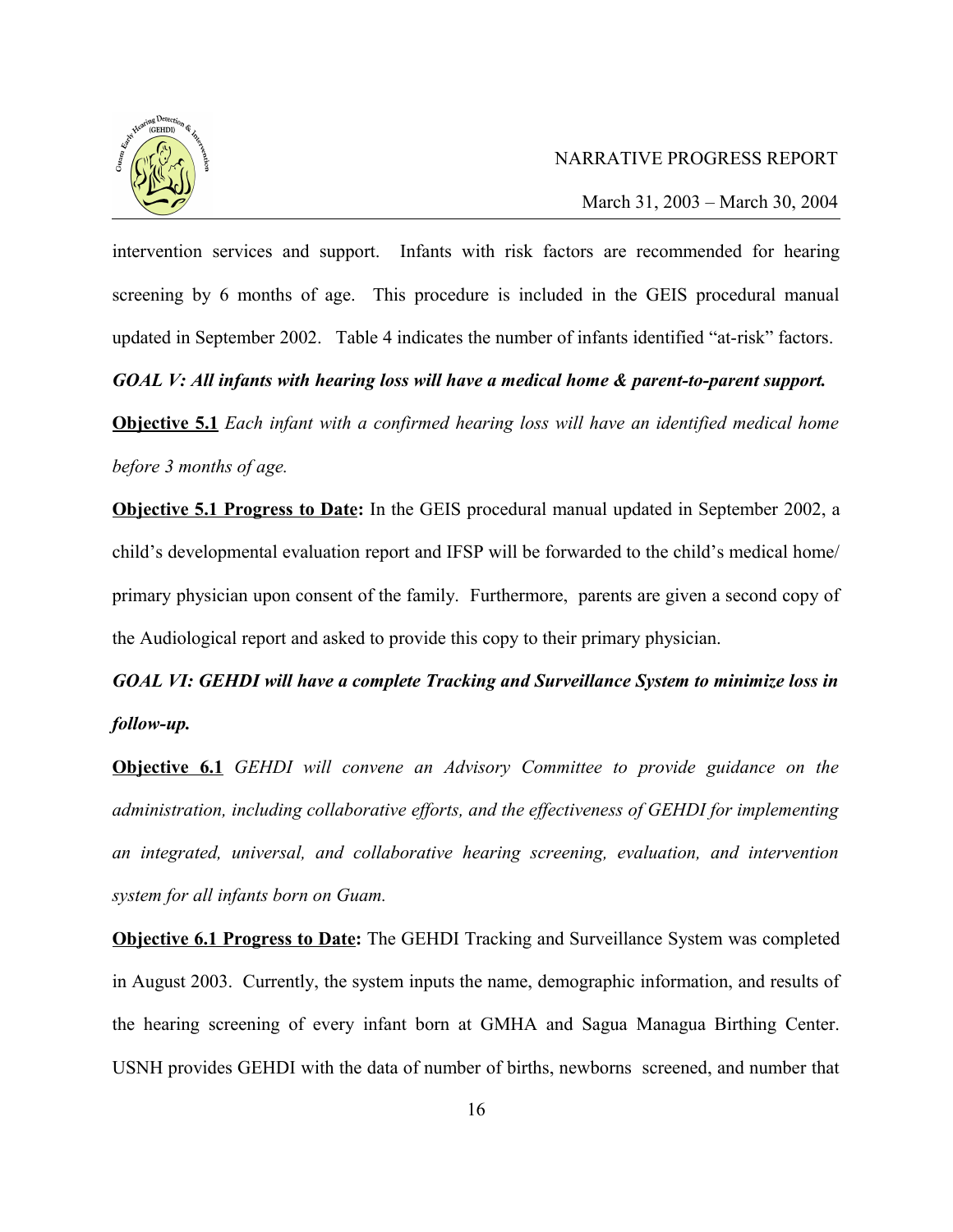

March 31, 2003 – March 30, 2004

intervention services and support. Infants with risk factors are recommended for hearing screening by 6 months of age. This procedure is included in the GEIS procedural manual updated in September 2002. Table 4 indicates the number of infants identified "at-risk" factors.

*GOAL V: All infants with hearing loss will have a medical home & parent-to-parent support.*

**Objective 5.1** *Each infant with a confirmed hearing loss will have an identified medical home before 3 months of age.*

**Objective 5.1 Progress to Date:** In the GEIS procedural manual updated in September 2002, a child's developmental evaluation report and IFSP will be forwarded to the child's medical home/ primary physician upon consent of the family. Furthermore, parents are given a second copy of the Audiological report and asked to provide this copy to their primary physician.

*GOAL VI: GEHDI will have a complete Tracking and Surveillance System to minimize loss in follow-up.*

**Objective 6.1** *GEHDI will convene an Advisory Committee to provide guidance on the administration, including collaborative efforts, and the effectiveness of GEHDI for implementing an integrated, universal, and collaborative hearing screening, evaluation, and intervention system for all infants born on Guam.*

**Objective 6.1 Progress to Date:** The GEHDI Tracking and Surveillance System was completed in August 2003. Currently, the system inputs the name, demographic information, and results of the hearing screening of every infant born at GMHA and Sagua Managua Birthing Center. USNH provides GEHDI with the data of number of births, newborns screened, and number that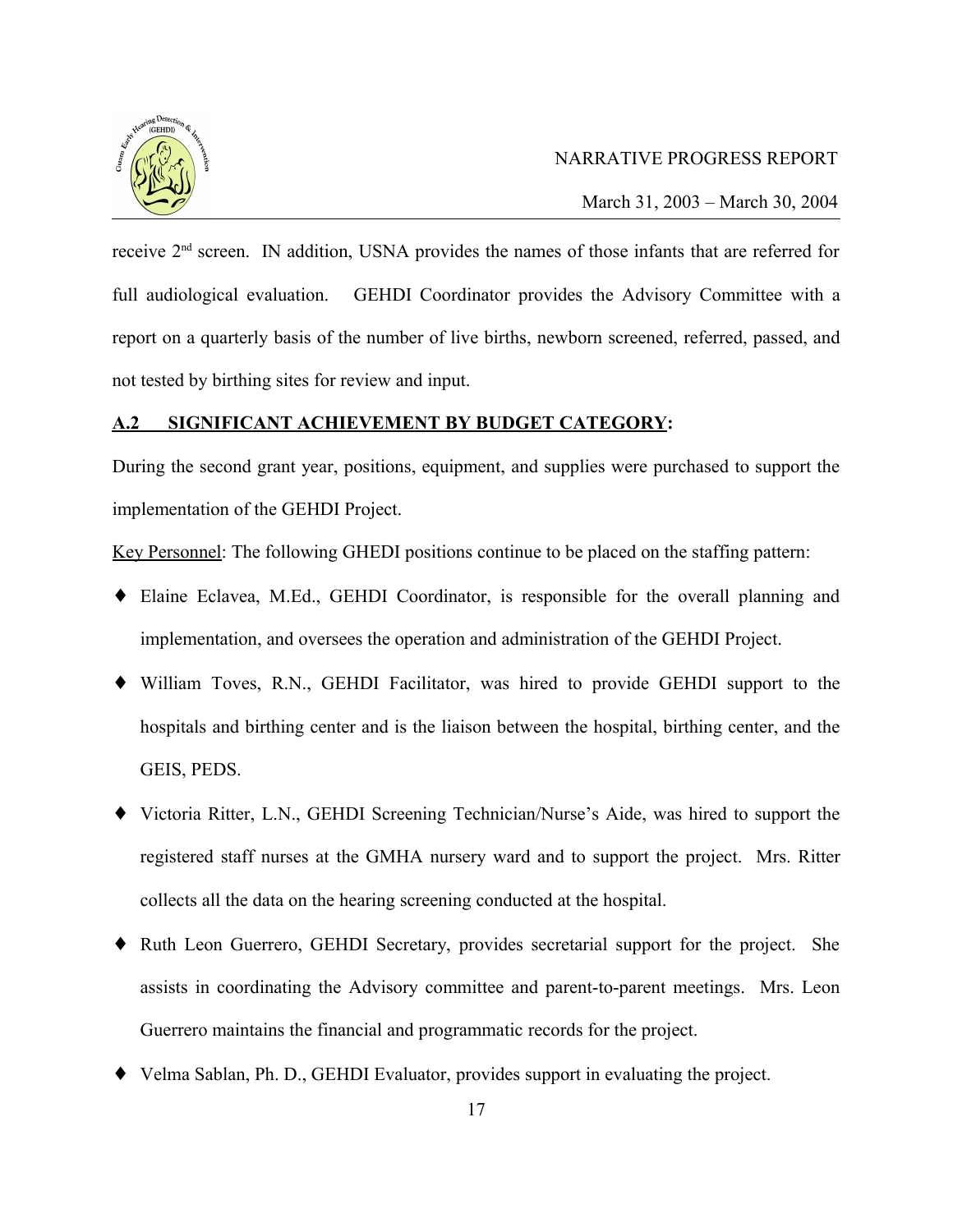

March 31, 2003 – March 30, 2004

receive 2nd screen. IN addition, USNA provides the names of those infants that are referred for full audiological evaluation. GEHDI Coordinator provides the Advisory Committee with a report on a quarterly basis of the number of live births, newborn screened, referred, passed, and not tested by birthing sites for review and input.

## **A.2 SIGNIFICANT ACHIEVEMENT BY BUDGET CATEGORY:**

During the second grant year, positions, equipment, and supplies were purchased to support the implementation of the GEHDI Project.

Key Personnel: The following GHEDI positions continue to be placed on the staffing pattern:

- ♦ Elaine Eclavea, M.Ed., GEHDI Coordinator, is responsible for the overall planning and implementation, and oversees the operation and administration of the GEHDI Project.
- ♦ William Toves, R.N., GEHDI Facilitator, was hired to provide GEHDI support to the hospitals and birthing center and is the liaison between the hospital, birthing center, and the GEIS, PEDS.
- ♦ Victoria Ritter, L.N., GEHDI Screening Technician/Nurse's Aide, was hired to support the registered staff nurses at the GMHA nursery ward and to support the project. Mrs. Ritter collects all the data on the hearing screening conducted at the hospital.
- ♦ Ruth Leon Guerrero, GEHDI Secretary, provides secretarial support for the project. She assists in coordinating the Advisory committee and parent-to-parent meetings. Mrs. Leon Guerrero maintains the financial and programmatic records for the project.
- ♦ Velma Sablan, Ph. D., GEHDI Evaluator, provides support in evaluating the project.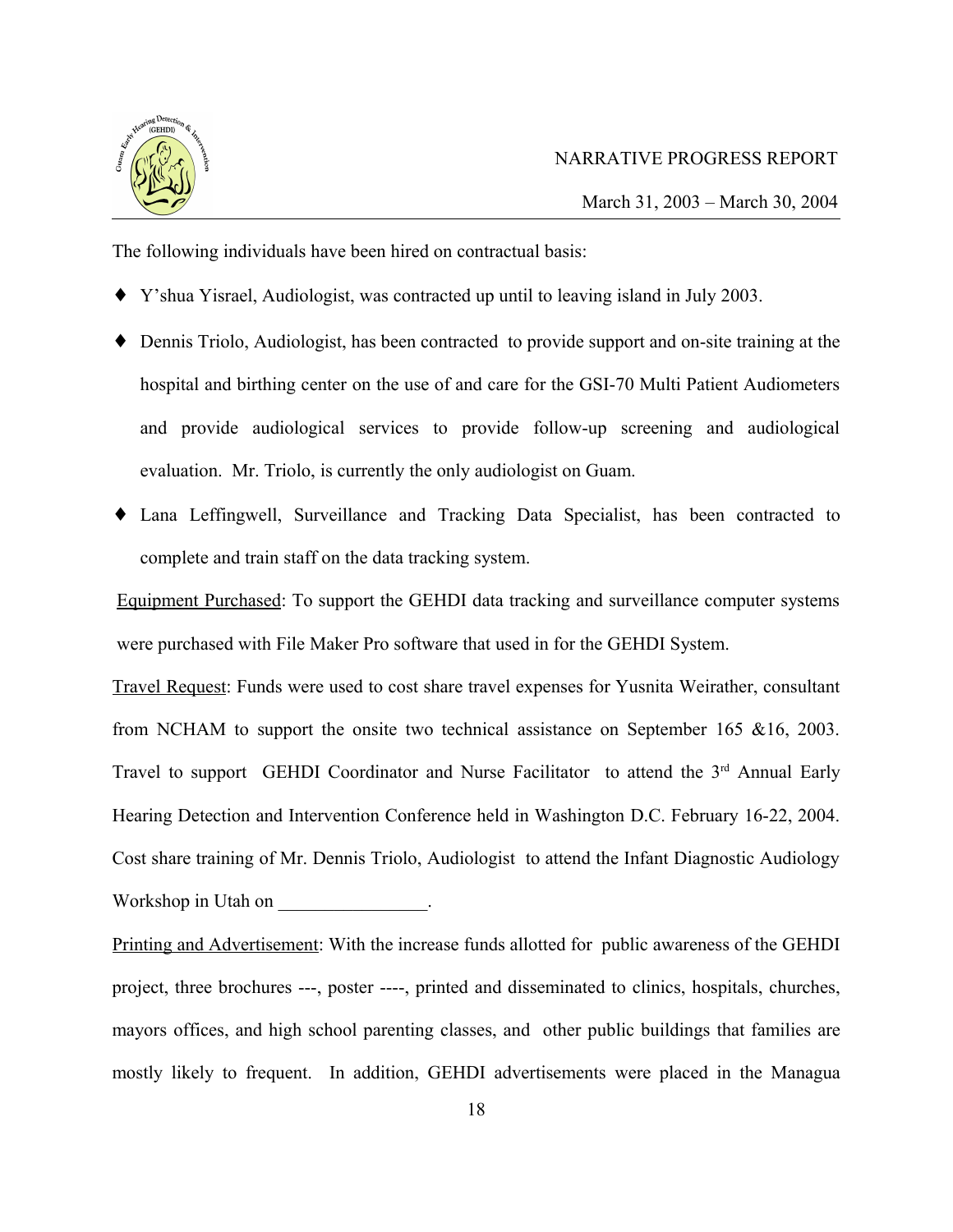

March 31, 2003 – March 30, 2004

The following individuals have been hired on contractual basis:

- ♦ Y'shua Yisrael, Audiologist, was contracted up until to leaving island in July 2003.
- ♦ Dennis Triolo, Audiologist, has been contracted to provide support and on-site training at the hospital and birthing center on the use of and care for the GSI-70 Multi Patient Audiometers and provide audiological services to provide follow-up screening and audiological evaluation. Mr. Triolo, is currently the only audiologist on Guam.
- ♦ Lana Leffingwell, Surveillance and Tracking Data Specialist, has been contracted to complete and train staff on the data tracking system.

Equipment Purchased: To support the GEHDI data tracking and surveillance computer systems were purchased with File Maker Pro software that used in for the GEHDI System.

Travel Request: Funds were used to cost share travel expenses for Yusnita Weirather, consultant from NCHAM to support the onsite two technical assistance on September 165 &16, 2003. Travel to support GEHDI Coordinator and Nurse Facilitator to attend the 3<sup>rd</sup> Annual Early Hearing Detection and Intervention Conference held in Washington D.C. February 16-22, 2004. Cost share training of Mr. Dennis Triolo, Audiologist to attend the Infant Diagnostic Audiology Workshop in Utah on

Printing and Advertisement: With the increase funds allotted for public awareness of the GEHDI project, three brochures ---, poster ----, printed and disseminated to clinics, hospitals, churches, mayors offices, and high school parenting classes, and other public buildings that families are mostly likely to frequent. In addition, GEHDI advertisements were placed in the Managua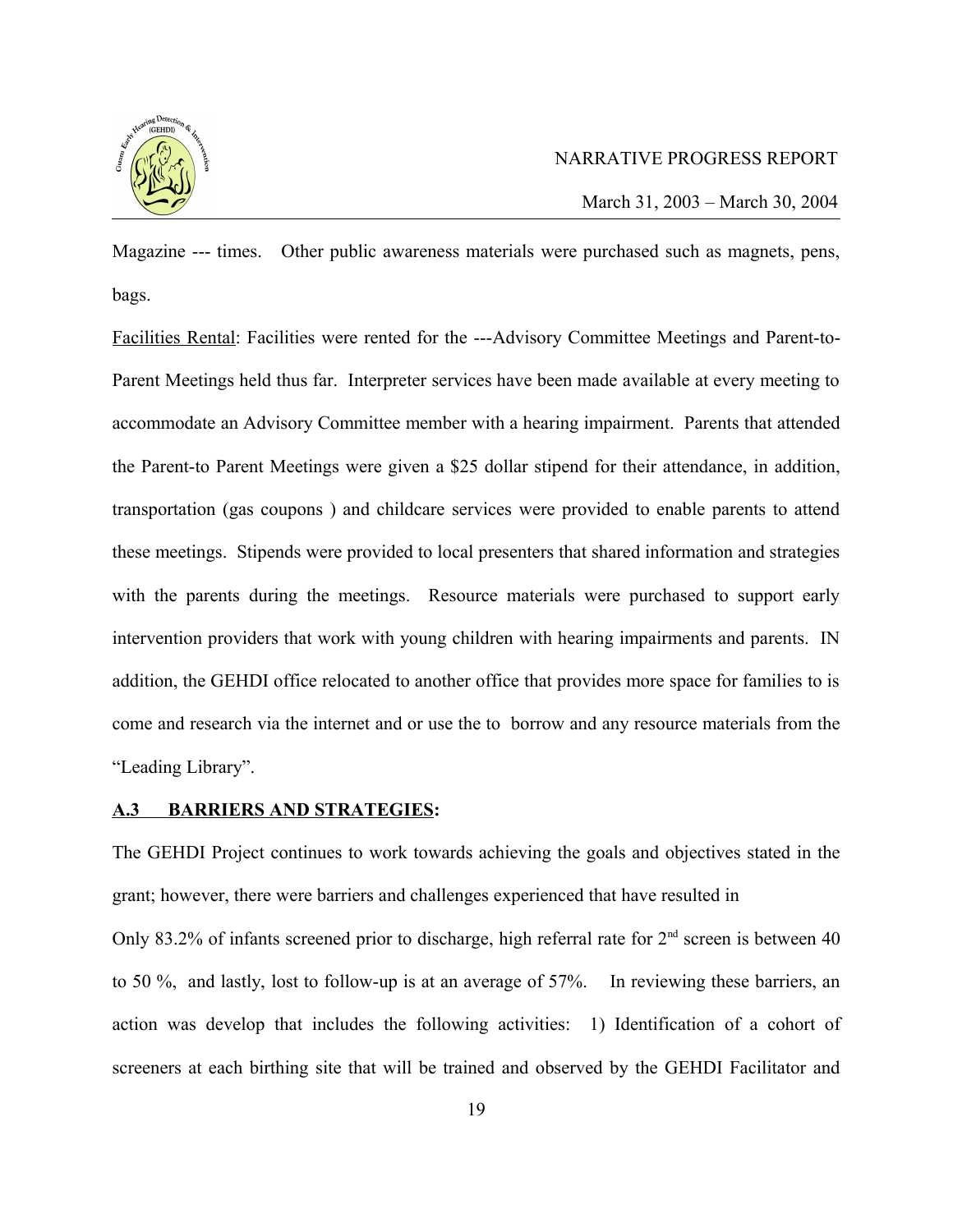

March 31, 2003 – March 30, 2004

Magazine --- times. Other public awareness materials were purchased such as magnets, pens, bags.

Facilities Rental: Facilities were rented for the ---Advisory Committee Meetings and Parent-to-Parent Meetings held thus far. Interpreter services have been made available at every meeting to accommodate an Advisory Committee member with a hearing impairment. Parents that attended the Parent-to Parent Meetings were given a \$25 dollar stipend for their attendance, in addition, transportation (gas coupons ) and childcare services were provided to enable parents to attend these meetings. Stipends were provided to local presenters that shared information and strategies with the parents during the meetings. Resource materials were purchased to support early intervention providers that work with young children with hearing impairments and parents. IN addition, the GEHDI office relocated to another office that provides more space for families to is come and research via the internet and or use the to borrow and any resource materials from the "Leading Library".

#### **A.3 BARRIERS AND STRATEGIES:**

The GEHDI Project continues to work towards achieving the goals and objectives stated in the grant; however, there were barriers and challenges experienced that have resulted in Only 83.2% of infants screened prior to discharge, high referral rate for  $2<sup>nd</sup>$  screen is between 40 to 50 %, and lastly, lost to follow-up is at an average of 57%. In reviewing these barriers, an action was develop that includes the following activities: 1) Identification of a cohort of screeners at each birthing site that will be trained and observed by the GEHDI Facilitator and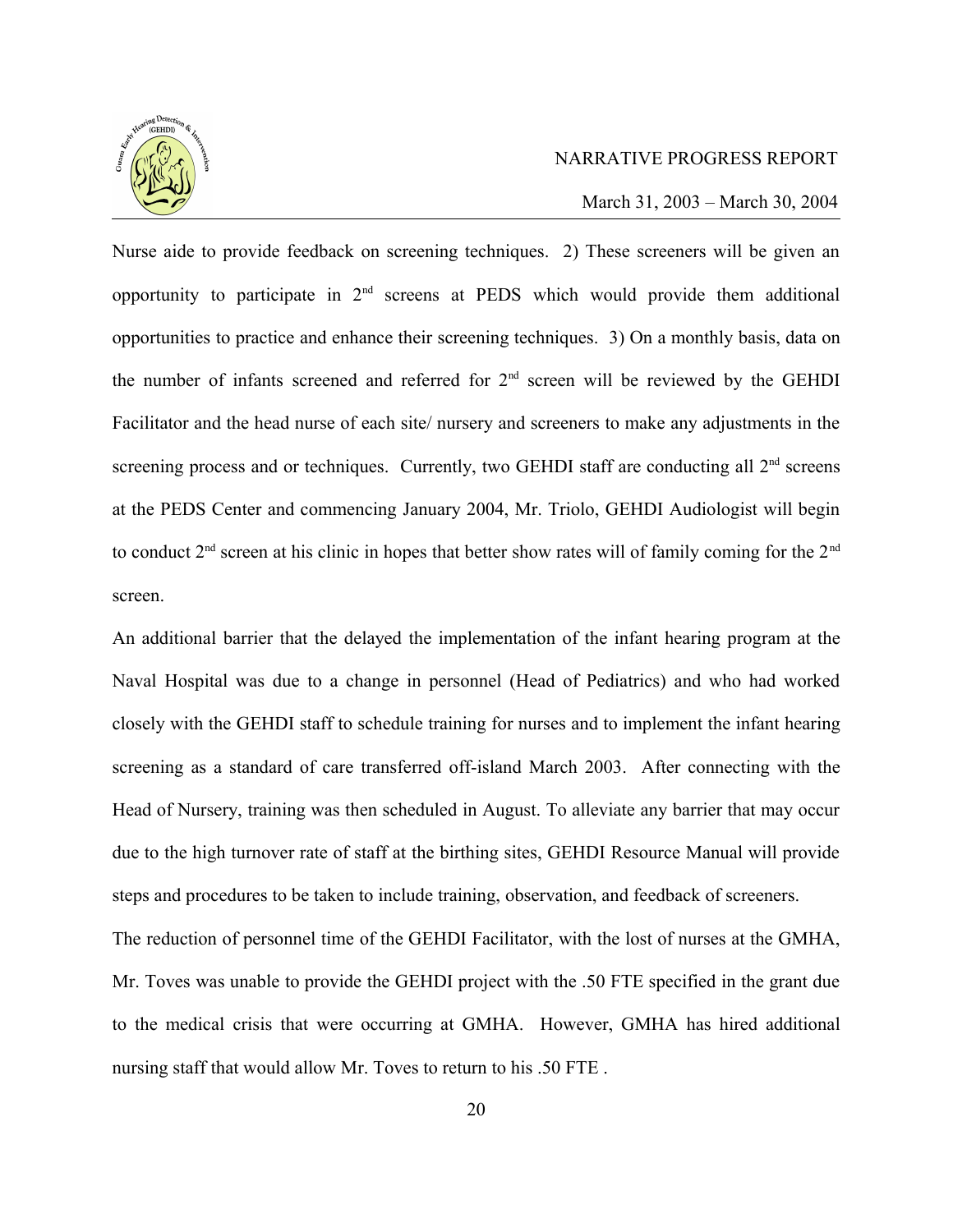

March 31, 2003 – March 30, 2004

Nurse aide to provide feedback on screening techniques. 2) These screeners will be given an opportunity to participate in  $2<sup>nd</sup>$  screens at PEDS which would provide them additional opportunities to practice and enhance their screening techniques. 3) On a monthly basis, data on the number of infants screened and referred for  $2<sup>nd</sup>$  screen will be reviewed by the GEHDI Facilitator and the head nurse of each site/ nursery and screeners to make any adjustments in the screening process and or techniques. Currently, two GEHDI staff are conducting all  $2<sup>nd</sup>$  screens at the PEDS Center and commencing January 2004, Mr. Triolo, GEHDI Audiologist will begin to conduct  $2<sup>nd</sup>$  screen at his clinic in hopes that better show rates will of family coming for the  $2<sup>nd</sup>$ screen.

An additional barrier that the delayed the implementation of the infant hearing program at the Naval Hospital was due to a change in personnel (Head of Pediatrics) and who had worked closely with the GEHDI staff to schedule training for nurses and to implement the infant hearing screening as a standard of care transferred off-island March 2003. After connecting with the Head of Nursery, training was then scheduled in August. To alleviate any barrier that may occur due to the high turnover rate of staff at the birthing sites, GEHDI Resource Manual will provide steps and procedures to be taken to include training, observation, and feedback of screeners. The reduction of personnel time of the GEHDI Facilitator, with the lost of nurses at the GMHA, Mr. Toves was unable to provide the GEHDI project with the .50 FTE specified in the grant due to the medical crisis that were occurring at GMHA. However, GMHA has hired additional nursing staff that would allow Mr. Toves to return to his .50 FTE .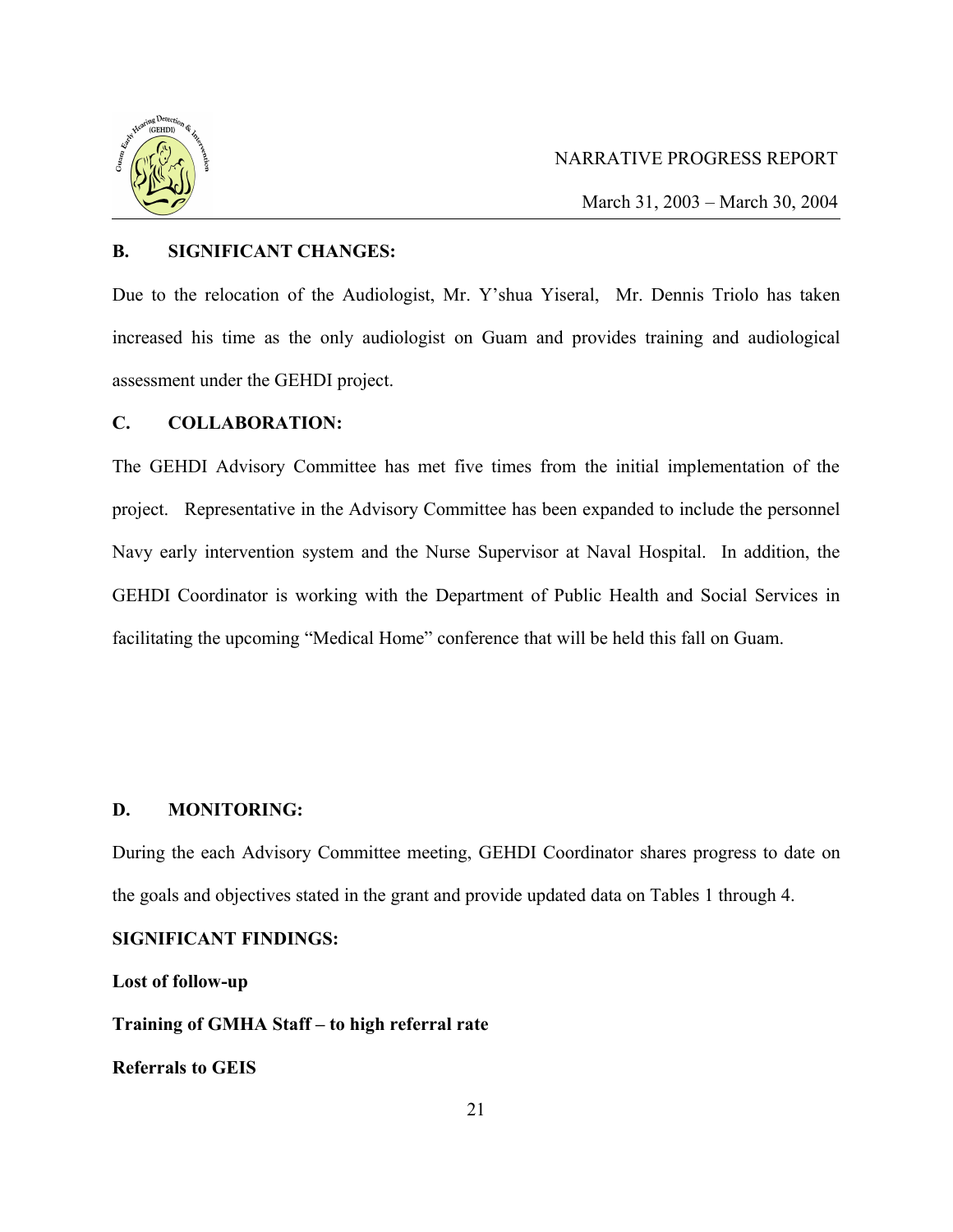

March 31, 2003 – March 30, 2004

#### **B. SIGNIFICANT CHANGES:**

Due to the relocation of the Audiologist, Mr. Y'shua Yiseral, Mr. Dennis Triolo has taken increased his time as the only audiologist on Guam and provides training and audiological assessment under the GEHDI project.

## **C. COLLABORATION:**

The GEHDI Advisory Committee has met five times from the initial implementation of the project. Representative in the Advisory Committee has been expanded to include the personnel Navy early intervention system and the Nurse Supervisor at Naval Hospital. In addition, the GEHDI Coordinator is working with the Department of Public Health and Social Services in facilitating the upcoming "Medical Home" conference that will be held this fall on Guam.

## **D. MONITORING:**

During the each Advisory Committee meeting, GEHDI Coordinator shares progress to date on the goals and objectives stated in the grant and provide updated data on Tables 1 through 4.

#### **SIGNIFICANT FINDINGS:**

**Lost of follow-up**

**Training of GMHA Staff – to high referral rate**

**Referrals to GEIS**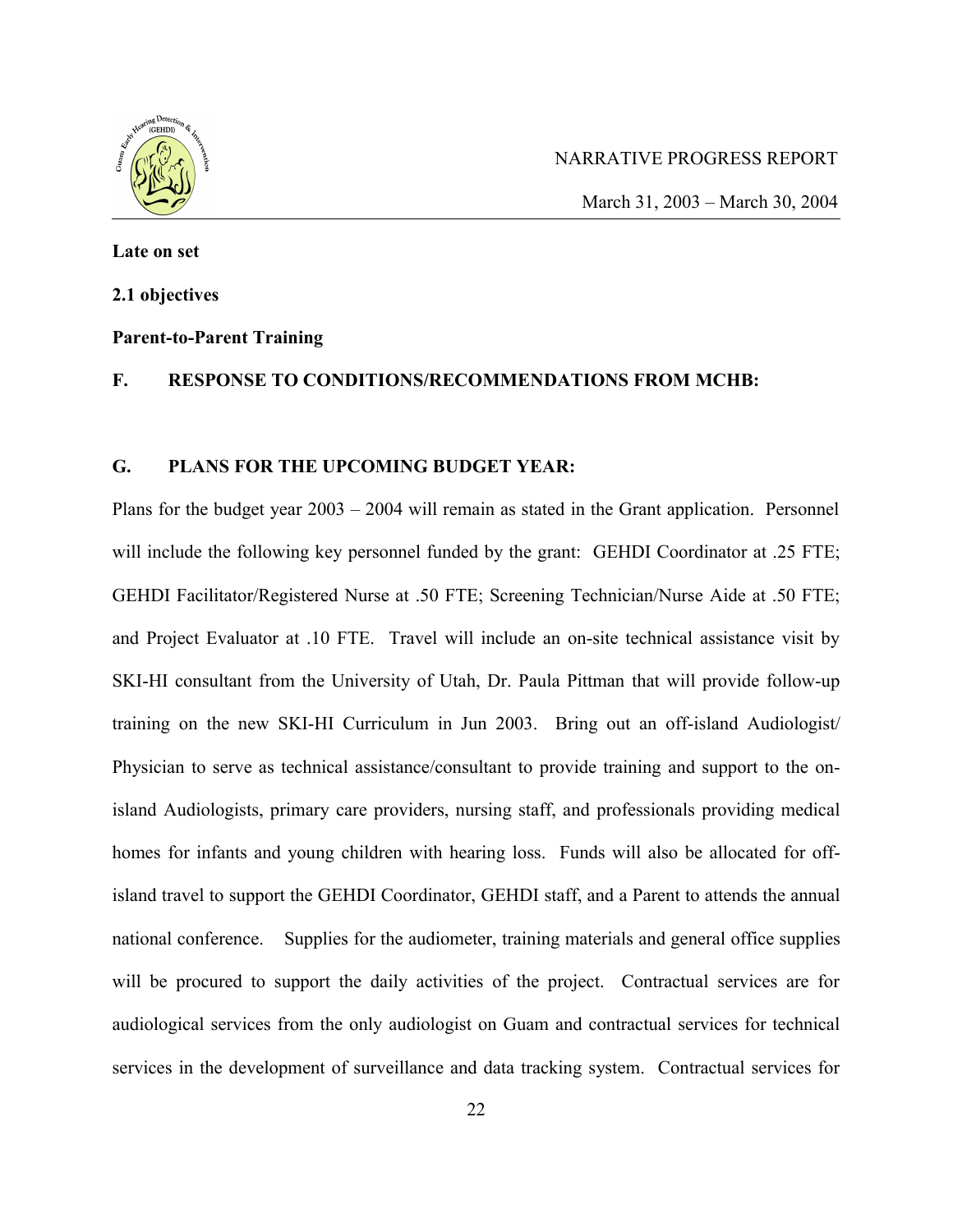

March 31, 2003 – March 30, 2004

# **Late on set 2.1 objectives**

# **Parent-to-Parent Training**

#### **F. RESPONSE TO CONDITIONS/RECOMMENDATIONS FROM MCHB:**

#### **G. PLANS FOR THE UPCOMING BUDGET YEAR:**

Plans for the budget year 2003 – 2004 will remain as stated in the Grant application. Personnel will include the following key personnel funded by the grant: GEHDI Coordinator at .25 FTE; GEHDI Facilitator/Registered Nurse at .50 FTE; Screening Technician/Nurse Aide at .50 FTE; and Project Evaluator at .10 FTE. Travel will include an on-site technical assistance visit by SKI-HI consultant from the University of Utah, Dr. Paula Pittman that will provide follow-up training on the new SKI-HI Curriculum in Jun 2003. Bring out an off-island Audiologist/ Physician to serve as technical assistance/consultant to provide training and support to the onisland Audiologists, primary care providers, nursing staff, and professionals providing medical homes for infants and young children with hearing loss. Funds will also be allocated for offisland travel to support the GEHDI Coordinator, GEHDI staff, and a Parent to attends the annual national conference. Supplies for the audiometer, training materials and general office supplies will be procured to support the daily activities of the project. Contractual services are for audiological services from the only audiologist on Guam and contractual services for technical services in the development of surveillance and data tracking system. Contractual services for